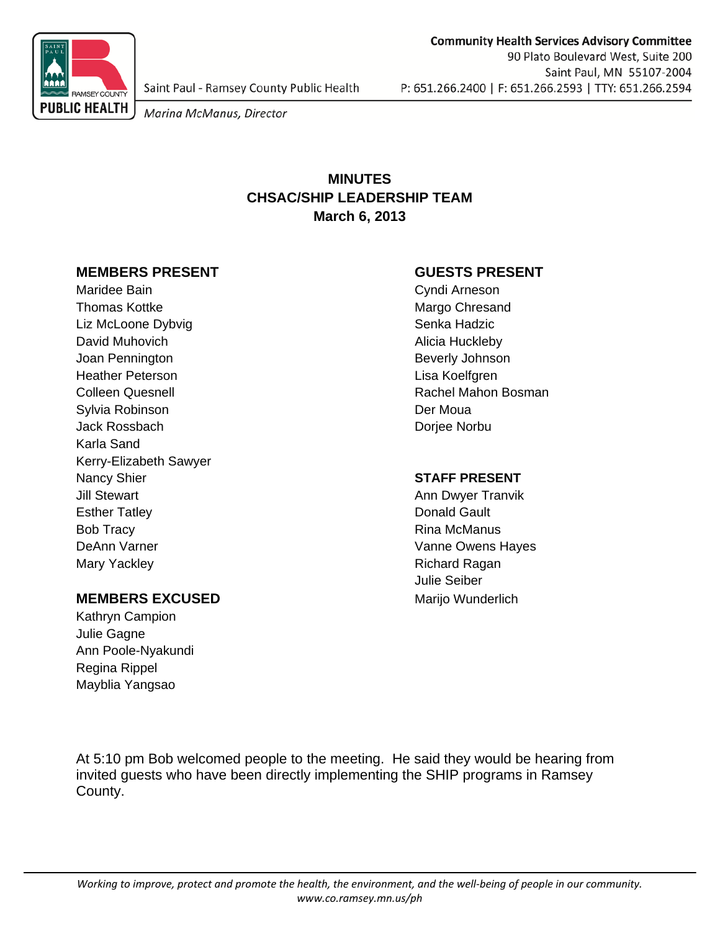

Saint Paul - Ramsey County Public Health

Marina McManus, Director

# **MINUTES CHSAC/SHIP LEADERSHIP TEAM March 6, 2013**

### **MEMBERS PRESENT GUESTS PRESENT**

Maridee Bain **Cyndi Arneson** Thomas Kottke **Margo Chresand** Margo Chresand Liz McLoone Dybvig **Senka Hadzic** Senka Hadzic David Muhovich **Alicia Huckleby** Joan Pennington **Beverly Johnson** Heather Peterson Lisa Koelfgren Colleen Quesnell Rachel Mahon Bosman Sylvia Robinson and Der Moua Jack Rossbach **Dominical Community** Dominical Dominical Dominical Dominical Dominical Dominical Dominical Dominical Dominical Dominical Dominical Dominical Dominical Dominical Dominical Dominical Dominical Dominical Domini Karla Sand Kerry-Elizabeth Sawyer Nancy Shier **Nancy State Control Control of STAFF PRESENT** Jill Stewart **Annual Annual Stewart Annual Stewart** Annual Annual Annual Annual Annual Annual Annual Annual Annual Annual Annual Annual Annual Annual Annual Annual Annual Annual Annual Annual Annual Annual Annual Annual An Esther Tatley **Donald Gault** Bob Tracy **Rina McManus** Bob Tracy DeAnn Varner Vanne Owens Hayes Mary Yackley **Richard Ragan** 

## **MEMBERS EXCUSED** Marijo Wunderlich

Kathryn Campion Julie Gagne Ann Poole-Nyakundi Regina Rippel Mayblia Yangsao

Julie Seiber

At 5:10 pm Bob welcomed people to the meeting. He said they would be hearing from invited guests who have been directly implementing the SHIP programs in Ramsey County.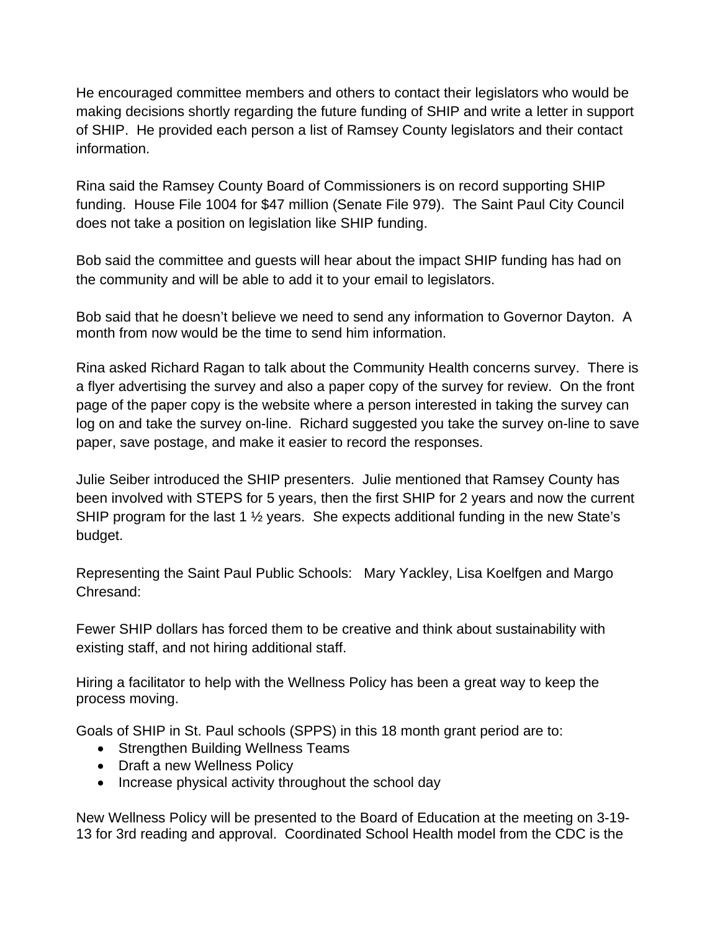He encouraged committee members and others to contact their legislators who would be making decisions shortly regarding the future funding of SHIP and write a letter in support of SHIP. He provided each person a list of Ramsey County legislators and their contact information.

Rina said the Ramsey County Board of Commissioners is on record supporting SHIP funding. House File 1004 for \$47 million (Senate File 979). The Saint Paul City Council does not take a position on legislation like SHIP funding.

Bob said the committee and guests will hear about the impact SHIP funding has had on the community and will be able to add it to your email to legislators.

Bob said that he doesn't believe we need to send any information to Governor Dayton. A month from now would be the time to send him information.

Rina asked Richard Ragan to talk about the Community Health concerns survey. There is a flyer advertising the survey and also a paper copy of the survey for review. On the front page of the paper copy is the website where a person interested in taking the survey can log on and take the survey on-line. Richard suggested you take the survey on-line to save paper, save postage, and make it easier to record the responses.

Julie Seiber introduced the SHIP presenters. Julie mentioned that Ramsey County has been involved with STEPS for 5 years, then the first SHIP for 2 years and now the current SHIP program for the last 1 <sup>1</sup>/<sub>2</sub> years. She expects additional funding in the new State's budget.

Representing the Saint Paul Public Schools: Mary Yackley, Lisa Koelfgen and Margo Chresand:

Fewer SHIP dollars has forced them to be creative and think about sustainability with existing staff, and not hiring additional staff.

Hiring a facilitator to help with the Wellness Policy has been a great way to keep the process moving.

Goals of SHIP in St. Paul schools (SPPS) in this 18 month grant period are to:

- Strengthen Building Wellness Teams
- Draft a new Wellness Policy
- Increase physical activity throughout the school day

New Wellness Policy will be presented to the Board of Education at the meeting on 3-19- 13 for 3rd reading and approval. Coordinated School Health model from the CDC is the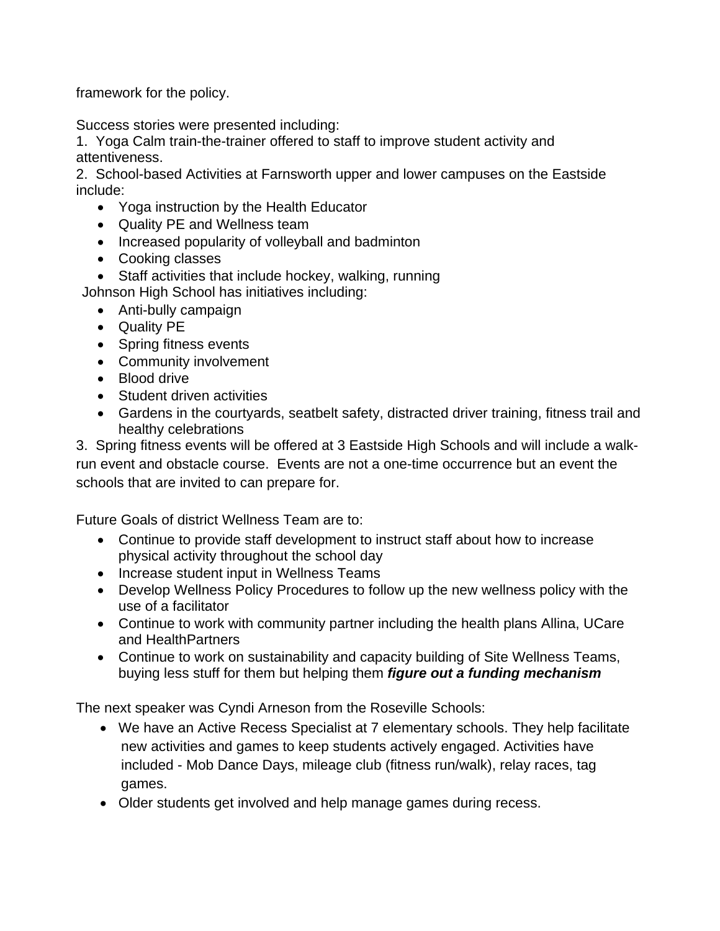framework for the policy.

Success stories were presented including:

1. Yoga Calm train-the-trainer offered to staff to improve student activity and attentiveness.

2. School-based Activities at Farnsworth upper and lower campuses on the Eastside include:

- Yoga instruction by the Health Educator
- Quality PE and Wellness team
- Increased popularity of volleyball and badminton
- Cooking classes
- Staff activities that include hockey, walking, running

Johnson High School has initiatives including:

- Anti-bully campaign
- Quality PE
- Spring fitness events
- Community involvement
- Blood drive
- Student driven activities
- Gardens in the courtyards, seatbelt safety, distracted driver training, fitness trail and healthy celebrations

3. Spring fitness events will be offered at 3 Eastside High Schools and will include a walkrun event and obstacle course. Events are not a one-time occurrence but an event the schools that are invited to can prepare for.

Future Goals of district Wellness Team are to:

- Continue to provide staff development to instruct staff about how to increase physical activity throughout the school day
- Increase student input in Wellness Teams
- Develop Wellness Policy Procedures to follow up the new wellness policy with the use of a facilitator
- Continue to work with community partner including the health plans Allina, UCare and HealthPartners
- Continue to work on sustainability and capacity building of Site Wellness Teams, buying less stuff for them but helping them *figure out a funding mechanism*

The next speaker was Cyndi Arneson from the Roseville Schools:

- We have an Active Recess Specialist at 7 elementary schools. They help facilitate new activities and games to keep students actively engaged. Activities have included - Mob Dance Days, mileage club (fitness run/walk), relay races, tag games.
- Older students get involved and help manage games during recess.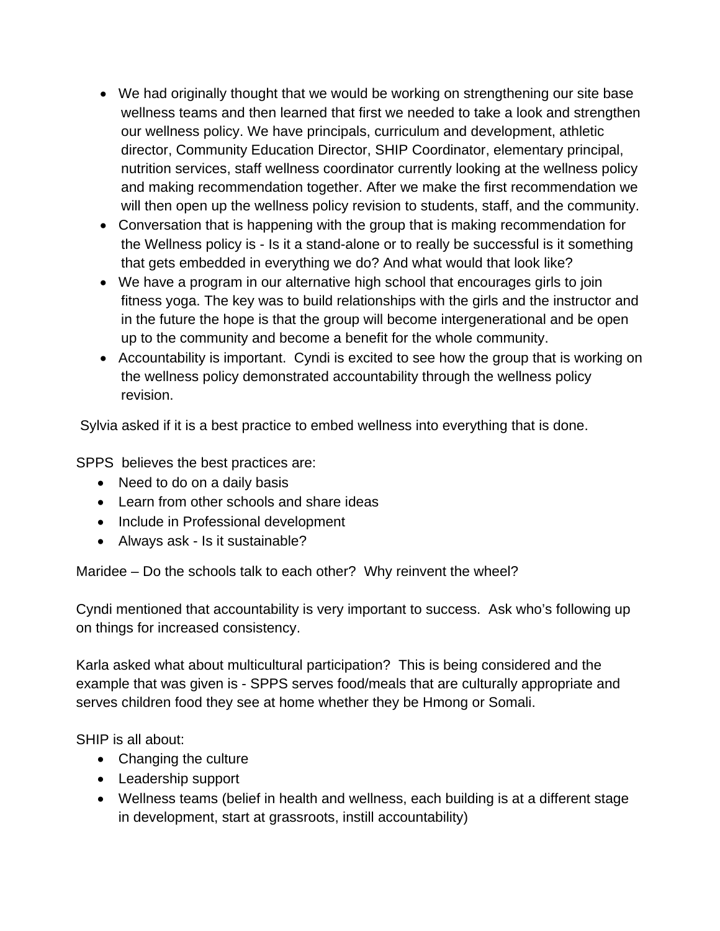- We had originally thought that we would be working on strengthening our site base wellness teams and then learned that first we needed to take a look and strengthen our wellness policy. We have principals, curriculum and development, athletic director, Community Education Director, SHIP Coordinator, elementary principal, nutrition services, staff wellness coordinator currently looking at the wellness policy and making recommendation together. After we make the first recommendation we will then open up the wellness policy revision to students, staff, and the community.
- Conversation that is happening with the group that is making recommendation for the Wellness policy is - Is it a stand-alone or to really be successful is it something that gets embedded in everything we do? And what would that look like?
- We have a program in our alternative high school that encourages girls to join fitness yoga. The key was to build relationships with the girls and the instructor and in the future the hope is that the group will become intergenerational and be open up to the community and become a benefit for the whole community.
- Accountability is important. Cyndi is excited to see how the group that is working on the wellness policy demonstrated accountability through the wellness policy revision.

Sylvia asked if it is a best practice to embed wellness into everything that is done.

SPPS believes the best practices are:

- Need to do on a daily basis
- Learn from other schools and share ideas
- Include in Professional development
- Always ask Is it sustainable?

Maridee – Do the schools talk to each other? Why reinvent the wheel?

Cyndi mentioned that accountability is very important to success. Ask who's following up on things for increased consistency.

Karla asked what about multicultural participation? This is being considered and the example that was given is - SPPS serves food/meals that are culturally appropriate and serves children food they see at home whether they be Hmong or Somali.

SHIP is all about:

- Changing the culture
- Leadership support
- Wellness teams (belief in health and wellness, each building is at a different stage in development, start at grassroots, instill accountability)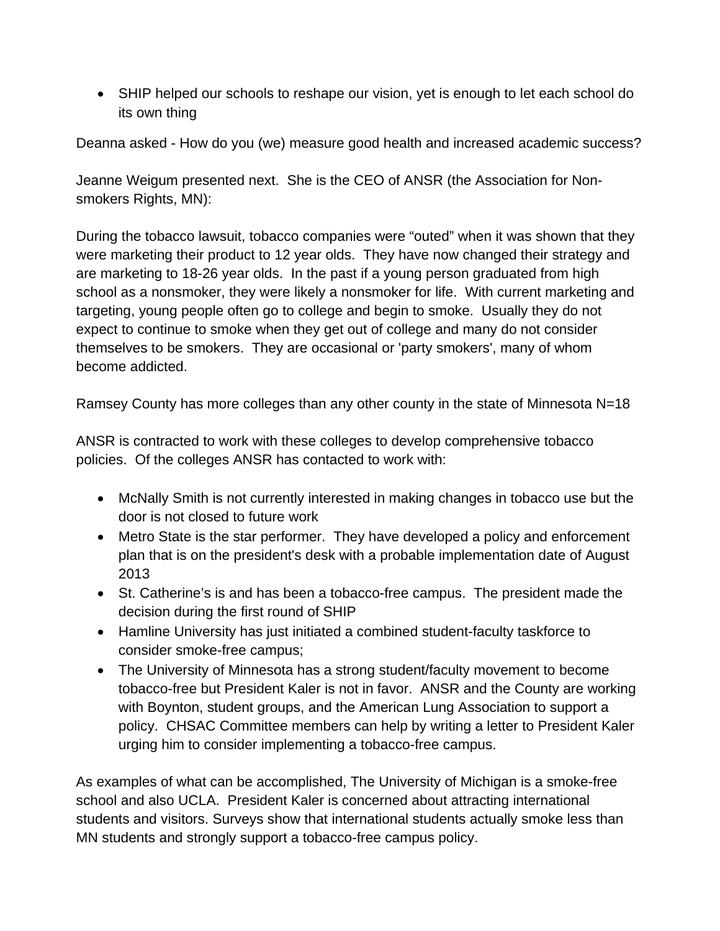SHIP helped our schools to reshape our vision, yet is enough to let each school do its own thing

Deanna asked - How do you (we) measure good health and increased academic success?

Jeanne Weigum presented next. She is the CEO of ANSR (the Association for Nonsmokers Rights, MN):

During the tobacco lawsuit, tobacco companies were "outed" when it was shown that they were marketing their product to 12 year olds. They have now changed their strategy and are marketing to 18-26 year olds. In the past if a young person graduated from high school as a nonsmoker, they were likely a nonsmoker for life. With current marketing and targeting, young people often go to college and begin to smoke. Usually they do not expect to continue to smoke when they get out of college and many do not consider themselves to be smokers. They are occasional or 'party smokers', many of whom become addicted.

Ramsey County has more colleges than any other county in the state of Minnesota N=18

ANSR is contracted to work with these colleges to develop comprehensive tobacco policies. Of the colleges ANSR has contacted to work with:

- McNally Smith is not currently interested in making changes in tobacco use but the door is not closed to future work
- Metro State is the star performer. They have developed a policy and enforcement plan that is on the president's desk with a probable implementation date of August 2013
- St. Catherine's is and has been a tobacco-free campus. The president made the decision during the first round of SHIP
- Hamline University has just initiated a combined student-faculty taskforce to consider smoke-free campus;
- The University of Minnesota has a strong student/faculty movement to become tobacco-free but President Kaler is not in favor. ANSR and the County are working with Boynton, student groups, and the American Lung Association to support a policy. CHSAC Committee members can help by writing a letter to President Kaler urging him to consider implementing a tobacco-free campus.

As examples of what can be accomplished, The University of Michigan is a smoke-free school and also UCLA. President Kaler is concerned about attracting international students and visitors. Surveys show that international students actually smoke less than MN students and strongly support a tobacco-free campus policy.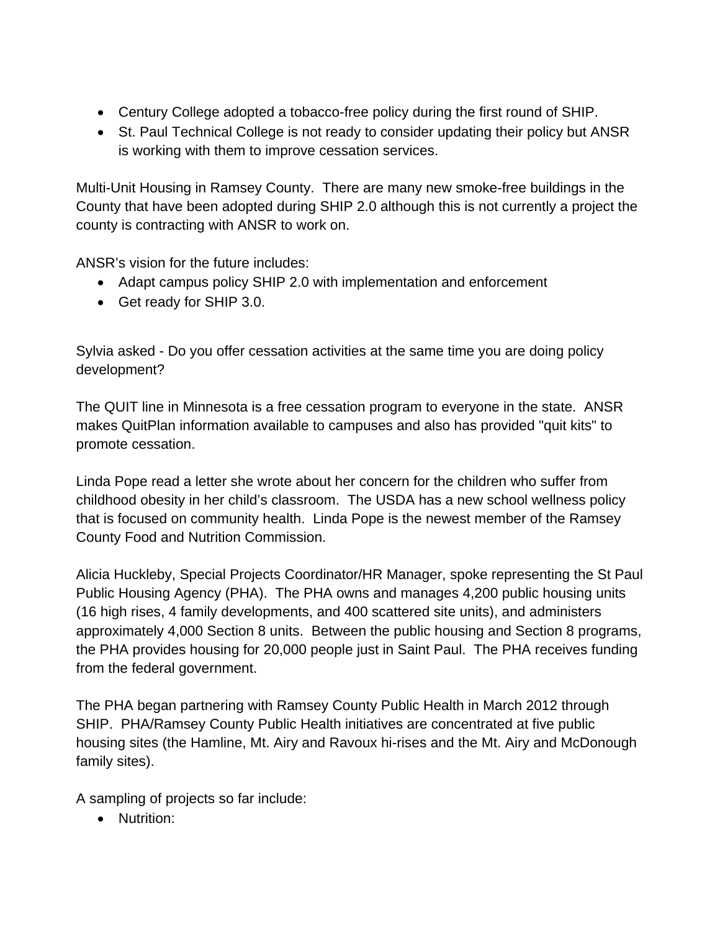- Century College adopted a tobacco-free policy during the first round of SHIP.
- St. Paul Technical College is not ready to consider updating their policy but ANSR is working with them to improve cessation services.

Multi-Unit Housing in Ramsey County. There are many new smoke-free buildings in the County that have been adopted during SHIP 2.0 although this is not currently a project the county is contracting with ANSR to work on.

ANSR's vision for the future includes:

- Adapt campus policy SHIP 2.0 with implementation and enforcement
- Get ready for SHIP 3.0.

Sylvia asked - Do you offer cessation activities at the same time you are doing policy development?

The QUIT line in Minnesota is a free cessation program to everyone in the state. ANSR makes QuitPlan information available to campuses and also has provided "quit kits" to promote cessation.

Linda Pope read a letter she wrote about her concern for the children who suffer from childhood obesity in her child's classroom. The USDA has a new school wellness policy that is focused on community health. Linda Pope is the newest member of the Ramsey County Food and Nutrition Commission.

Alicia Huckleby, Special Projects Coordinator/HR Manager, spoke representing the St Paul Public Housing Agency (PHA). The PHA owns and manages 4,200 public housing units (16 high rises, 4 family developments, and 400 scattered site units), and administers approximately 4,000 Section 8 units. Between the public housing and Section 8 programs, the PHA provides housing for 20,000 people just in Saint Paul. The PHA receives funding from the federal government.

The PHA began partnering with Ramsey County Public Health in March 2012 through SHIP. PHA/Ramsey County Public Health initiatives are concentrated at five public housing sites (the Hamline, Mt. Airy and Ravoux hi-rises and the Mt. Airy and McDonough family sites).

A sampling of projects so far include:

• Nutrition: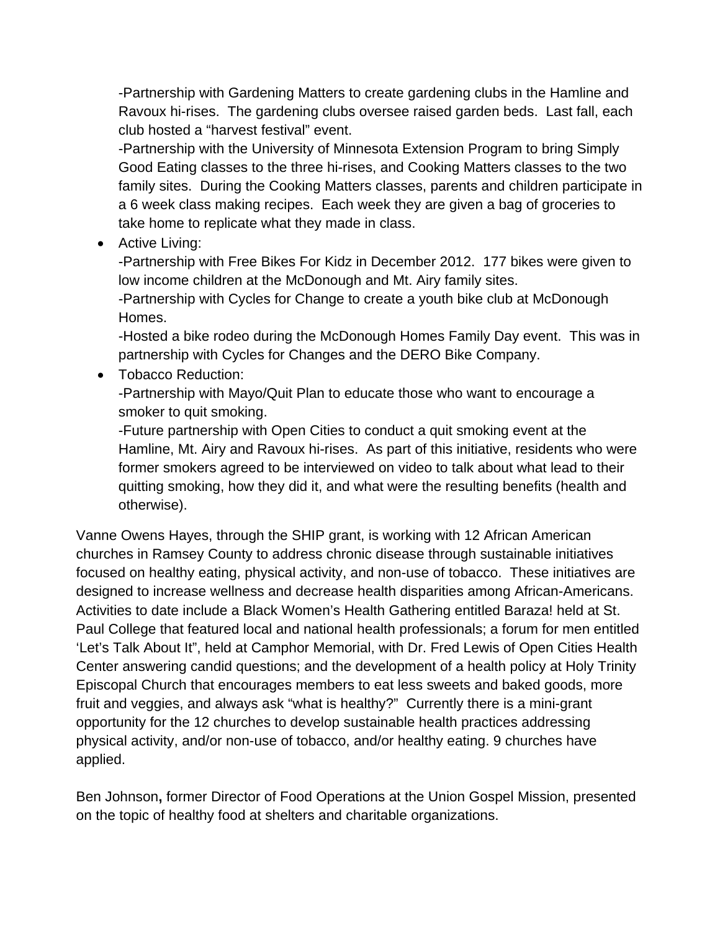-Partnership with Gardening Matters to create gardening clubs in the Hamline and Ravoux hi-rises. The gardening clubs oversee raised garden beds. Last fall, each club hosted a "harvest festival" event.

-Partnership with the University of Minnesota Extension Program to bring Simply Good Eating classes to the three hi-rises, and Cooking Matters classes to the two family sites. During the Cooking Matters classes, parents and children participate in a 6 week class making recipes. Each week they are given a bag of groceries to take home to replicate what they made in class.

• Active Living:

-Partnership with Free Bikes For Kidz in December 2012. 177 bikes were given to low income children at the McDonough and Mt. Airy family sites.

-Partnership with Cycles for Change to create a youth bike club at McDonough Homes.

-Hosted a bike rodeo during the McDonough Homes Family Day event. This was in partnership with Cycles for Changes and the DERO Bike Company.

• Tobacco Reduction:

-Partnership with Mayo/Quit Plan to educate those who want to encourage a smoker to quit smoking.

-Future partnership with Open Cities to conduct a quit smoking event at the Hamline, Mt. Airy and Ravoux hi-rises. As part of this initiative, residents who were former smokers agreed to be interviewed on video to talk about what lead to their quitting smoking, how they did it, and what were the resulting benefits (health and otherwise).

Vanne Owens Hayes, through the SHIP grant, is working with 12 African American churches in Ramsey County to address chronic disease through sustainable initiatives focused on healthy eating, physical activity, and non-use of tobacco. These initiatives are designed to increase wellness and decrease health disparities among African-Americans. Activities to date include a Black Women's Health Gathering entitled Baraza! held at St. Paul College that featured local and national health professionals; a forum for men entitled 'Let's Talk About It", held at Camphor Memorial, with Dr. Fred Lewis of Open Cities Health Center answering candid questions; and the development of a health policy at Holy Trinity Episcopal Church that encourages members to eat less sweets and baked goods, more fruit and veggies, and always ask "what is healthy?" Currently there is a mini-grant opportunity for the 12 churches to develop sustainable health practices addressing physical activity, and/or non-use of tobacco, and/or healthy eating. 9 churches have applied.

Ben Johnson**,** former Director of Food Operations at the Union Gospel Mission, presented on the topic of healthy food at shelters and charitable organizations.